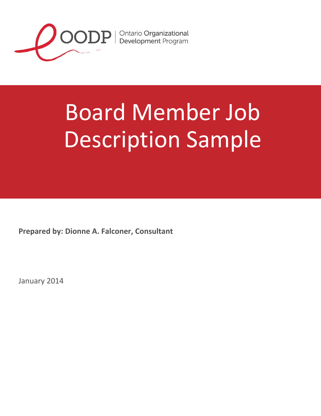

# Board Member Job Description Sample

**Prepared by: Dionne A. Falconer, Consultant**

January 2014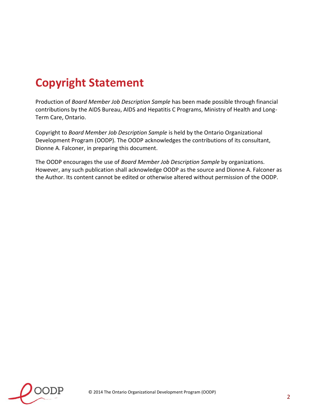## **Copyright Statement**

Production of *Board Member Job Description Sample* has been made possible through financial contributions by the AIDS Bureau, AIDS and Hepatitis C Programs, Ministry of Health and Long-Term Care, Ontario.

Copyright to *Board Member Job Description Sample* is held by the Ontario Organizational Development Program (OODP). The OODP acknowledges the contributions of its consultant, Dionne A. Falconer, in preparing this document.

The OODP encourages the use of *Board Member Job Description Sample* by organizations. However, any such publication shall acknowledge OODP as the source and Dionne A. Falconer as the Author. Its content cannot be edited or otherwise altered without permission of the OODP.

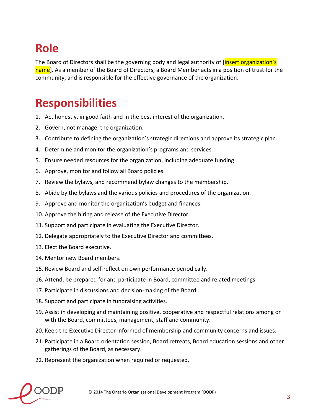### **Role**

The Board of Directors shall be the governing body and legal authority of [insert organization's name]. As a member of the Board of Directors, a Board Member acts in a position of trust for the community, and is responsible for the effective governance of the organization.

#### **Responsibilities**

- 1. Act honestly, in good faith and in the best interest of the organization.
- 2. Govern, not manage, the organization.
- 3. Contribute to defining the organization's strategic directions and approve its strategic plan.
- 4. Determine and monitor the organization's programs and services.
- 5. Ensure needed resources for the organization, including adequate funding.
- 6. Approve, monitor and follow all Board policies.
- 7. Review the bylaws, and recommend bylaw changes to the membership.
- 8. Abide by the bylaws and the various policies and procedures of the organization.
- 9. Approve and monitor the organization's budget and finances.
- 10. Approve the hiring and release of the Executive Director.
- 11. Support and participate in evaluating the Executive Director.
- 12. Delegate appropriately to the Executive Director and committees.
- 13. Elect the Board executive.
- 14. Mentor new Board members.
- 15. Review Board and self-reflect on own performance periodically.
- 16. Attend, be prepared for and participate in Board, committee and related meetings.
- 17. Participate in discussions and decision-making of the Board.
- 18. Support and participate in fundraising activities.
- 19. Assist in developing and maintaining positive, cooperative and respectful relations among or with the Board, committees, management, staff and community.
- 20. Keep the Executive Director informed of membership and community concerns and issues.
- 21. Participate in a Board orientation session, Board retreats, Board education sessions and other gatherings of the Board, as necessary.
- 22. Represent the organization when required or requested.